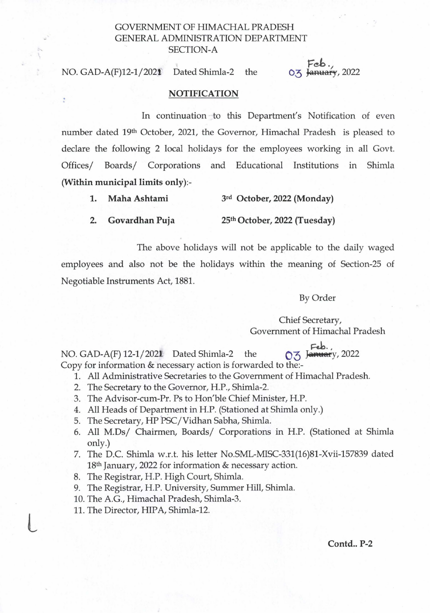## GOVERNMENT OF HIMACHAL PRADESH GENERAL ADMINISTRATION DEPARTMENT SECTION-A

## NO. *GAD-A(F)12-1j2021* Dated Shimla-2 the

t

Feb./ 0.3 January, 2022

## **NOTIFICATION**

In continuation to this Department's Notification of even number dated 19<sup>th</sup> October, 2021, the Governor, Himachal Pradesh is pleased to declare the following 2 local holidays for the employees working in all Govt. Offices/ Boards/ Corporations and Educational Institutions in Shimla (Within municipal limits only):-

|  |  | Maha Ashtami | 3rd October, 2022 (Monday) |  |
|--|--|--------------|----------------------------|--|
|--|--|--------------|----------------------------|--|

2. Govardhan Puja 25<sup>th</sup> October, 2022 (Tuesday)

The above holidays will not be applicable to the daily waged employees and also not be the holidays within the meaning of Section-25 of Negotiable Instruments Act, 1881.

By Order

Chief Secretary, Government of Himachal Pradesh

, NO. GAD-A(F) 12-1/2021 Dated Shimla-2 the 03 January, 2022

Copy for information & necessary action is forwarded to the:-

- 1. All Administrative Secretaries to the Government of Himachal Pradesh.
- 2. The Secretary to the Governor, H.P., Shimla-2.
- 3. The Advisor-cum-Pr. Ps to Hon'ble Chief Minister, H.P.
- 4. All Heads of Department in H.P. (Stationed at Shimla only.)
- 5. The Secretary, HP PSC/Vidhan Sabha, Shimla.
- 6. All *M.Dsj* Chairmen, *Boardsj* Corporations in H.P. (Stationed at Shimla only.)
- 7. The D.C. Shimla w.r.t. his letter No.sML-MISC-331(16)81-Xvii-157839 dated 18th January, 2022 for information & necessary action.
- 8. The Registrar, H.P. High Court, Shimla.
- 9. The Registrar, H.P. University, Summer Hill, Shimla.
- 10. The A.G., Himachal Pradesh, Shimla-3.
- 11. The Director, HIPA, Shimla-12.

L